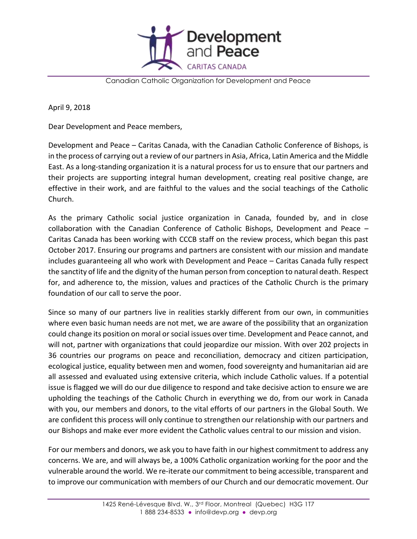

Canadian Catholic Organization for Development and Peace

April 9, 2018

Dear Development and Peace members,

Development and Peace – Caritas Canada, with the Canadian Catholic Conference of Bishops, is in the process of carrying out a review of our partners in Asia, Africa, Latin America and the Middle East. As a long-standing organization it is a natural process for us to ensure that our partners and their projects are supporting integral human development, creating real positive change, are effective in their work, and are faithful to the values and the social teachings of the Catholic Church.

As the primary Catholic social justice organization in Canada, founded by, and in close collaboration with the Canadian Conference of Catholic Bishops, Development and Peace – Caritas Canada has been working with CCCB staff on the review process, which began this past October 2017. Ensuring our programs and partners are consistent with our mission and mandate includes guaranteeing all who work with Development and Peace – Caritas Canada fully respect the sanctity of life and the dignity of the human person from conception to natural death. Respect for, and adherence to, the mission, values and practices of the Catholic Church is the primary foundation of our call to serve the poor.

Since so many of our partners live in realities starkly different from our own, in communities where even basic human needs are not met, we are aware of the possibility that an organization could change its position on moral or social issues over time. Development and Peace cannot, and will not, partner with organizations that could jeopardize our mission. With over 202 projects in 36 countries our programs on peace and reconciliation, democracy and citizen participation, ecological justice, equality between men and women, food sovereignty and humanitarian aid are all assessed and evaluated using extensive criteria, which include Catholic values. If a potential issue is flagged we will do our due diligence to respond and take decisive action to ensure we are upholding the teachings of the Catholic Church in everything we do, from our work in Canada with you, our members and donors, to the vital efforts of our partners in the Global South. We are confident this process will only continue to strengthen our relationship with our partners and our Bishops and make ever more evident the Catholic values central to our mission and vision.

For our members and donors, we ask you to have faith in our highest commitment to address any concerns. We are, and will always be, a 100% Catholic organization working for the poor and the vulnerable around the world. We re-iterate our commitment to being accessible, transparent and to improve our communication with members of our Church and our democratic movement. Our